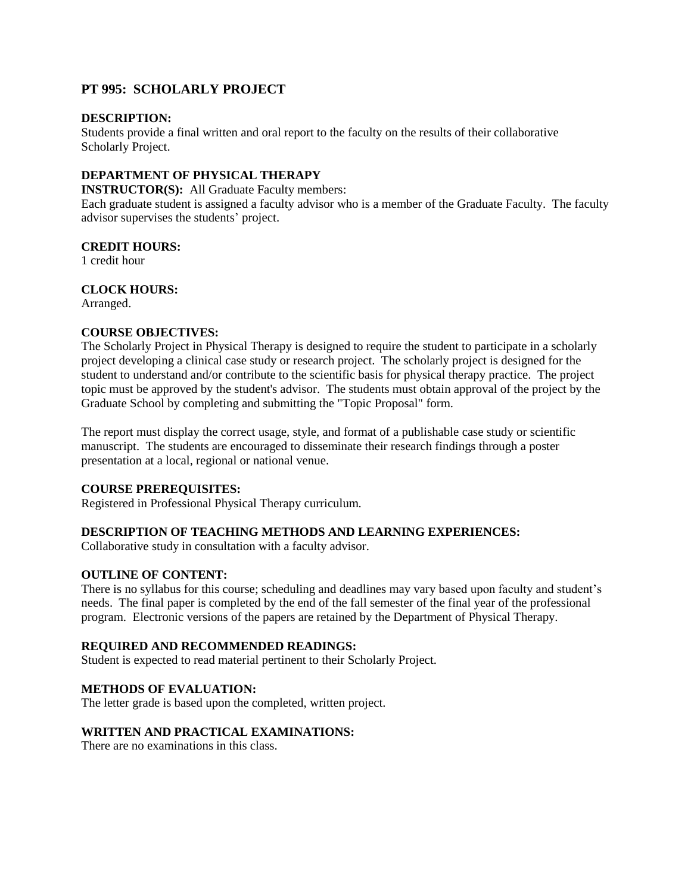# **PT 995: SCHOLARLY PROJECT**

#### **DESCRIPTION:**

Students provide a final written and oral report to the faculty on the results of their collaborative Scholarly Project.

# **DEPARTMENT OF PHYSICAL THERAPY**

**INSTRUCTOR(S):** All Graduate Faculty members:

Each graduate student is assigned a faculty advisor who is a member of the Graduate Faculty. The faculty advisor supervises the students' project.

#### **CREDIT HOURS:**

1 credit hour

## **CLOCK HOURS:**

Arranged.

## **COURSE OBJECTIVES:**

The Scholarly Project in Physical Therapy is designed to require the student to participate in a scholarly project developing a clinical case study or research project. The scholarly project is designed for the student to understand and/or contribute to the scientific basis for physical therapy practice. The project topic must be approved by the student's advisor. The students must obtain approval of the project by the Graduate School by completing and submitting the "Topic Proposal" form.

The report must display the correct usage, style, and format of a publishable case study or scientific manuscript. The students are encouraged to disseminate their research findings through a poster presentation at a local, regional or national venue.

## **COURSE PREREQUISITES:**

Registered in Professional Physical Therapy curriculum.

## **DESCRIPTION OF TEACHING METHODS AND LEARNING EXPERIENCES:**

Collaborative study in consultation with a faculty advisor.

## **OUTLINE OF CONTENT:**

There is no syllabus for this course; scheduling and deadlines may vary based upon faculty and student's needs. The final paper is completed by the end of the fall semester of the final year of the professional program. Electronic versions of the papers are retained by the Department of Physical Therapy.

## **REQUIRED AND RECOMMENDED READINGS:**

Student is expected to read material pertinent to their Scholarly Project.

## **METHODS OF EVALUATION:**

The letter grade is based upon the completed, written project.

## **WRITTEN AND PRACTICAL EXAMINATIONS:**

There are no examinations in this class.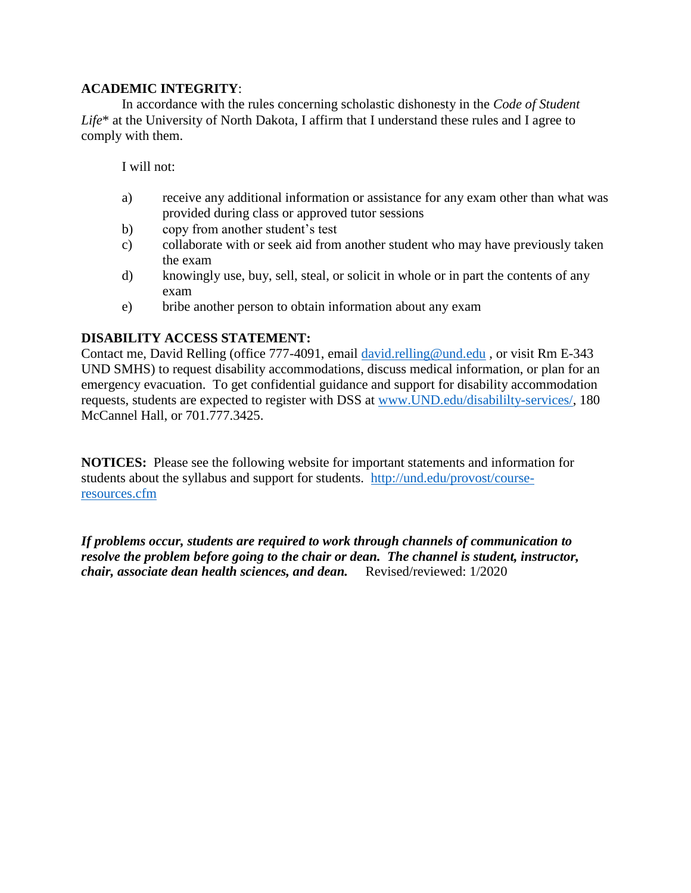# **ACADEMIC INTEGRITY**:

In accordance with the rules concerning scholastic dishonesty in the *Code of Student Life*\* at the University of North Dakota, I affirm that I understand these rules and I agree to comply with them.

I will not:

- a) receive any additional information or assistance for any exam other than what was provided during class or approved tutor sessions
- b) copy from another student's test
- c) collaborate with or seek aid from another student who may have previously taken the exam
- d) knowingly use, buy, sell, steal, or solicit in whole or in part the contents of any exam
- e) bribe another person to obtain information about any exam

# **DISABILITY ACCESS STATEMENT:**

Contact me, David Relling (office 777-4091, email [david.relling@und.edu](mailto:david.relling@und.edu) , or visit Rm E-343 UND SMHS) to request disability accommodations, discuss medical information, or plan for an emergency evacuation. To get confidential guidance and support for disability accommodation requests, students are expected to register with DSS at [www.UND.edu/disabililty-services/,](file:///C:/Users/David.Relling/Documents/@UND-PT%20Teaching_Research_Service/@Teaching/@Teaching%20FALL/PT513/Syllabus_Objectives/www.UND.edu/disabililty-services/) 180 McCannel Hall, or 701.777.3425.

**NOTICES:** Please see the following website for important statements and information for students about the syllabus and support for students. [http://und.edu/provost/course](http://und.edu/provost/course-resources.cfm)[resources.cfm](http://und.edu/provost/course-resources.cfm) 

*If problems occur, students are required to work through channels of communication to resolve the problem before going to the chair or dean. The channel is student, instructor, chair, associate dean health sciences, and dean.* Revised/reviewed: 1/2020